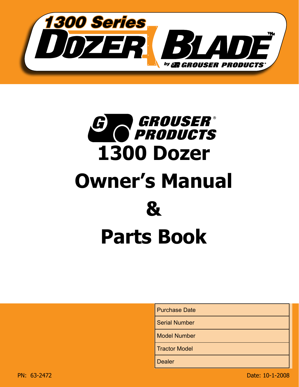



Purchase Date

Serial Number

Model Number

Tractor Model

**Dealer**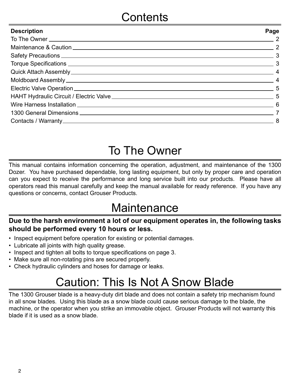| <b>Description</b>                                                                                                                                                                                                                   | Page                       |
|--------------------------------------------------------------------------------------------------------------------------------------------------------------------------------------------------------------------------------------|----------------------------|
| To The Owner <u>New York Charles and State and State and State and State and State and State and State and State and State and State and State and State and State and State and State and State and State and State and State a</u> | $\overline{\phantom{a}}$ 2 |
|                                                                                                                                                                                                                                      |                            |
|                                                                                                                                                                                                                                      |                            |
|                                                                                                                                                                                                                                      |                            |
|                                                                                                                                                                                                                                      |                            |
|                                                                                                                                                                                                                                      |                            |
|                                                                                                                                                                                                                                      |                            |
|                                                                                                                                                                                                                                      |                            |
|                                                                                                                                                                                                                                      |                            |
|                                                                                                                                                                                                                                      |                            |
|                                                                                                                                                                                                                                      |                            |

# To The Owner

This manual contains information concerning the operation, adjustment, and maintenance of the 1300 Dozer. You have purchased dependable, long lasting equipment, but only by proper care and operation can you expect to receive the performance and long service built into our products. Please have all operators read this manual carefully and keep the manual available for ready reference. If you have any questions or concerns, contact Grouser Products.

## **Maintenance**

### **Due to the harsh environment a lot of our equipment operates in, the following tasks should be performed every 10 hours or less.**

- Inspect equipment before operation for existing or potential damages.
- Lubricate all joints with high quality grease.
- Inspect and tighten all bolts to torque specifications on page 3.
- Make sure all non-rotating pins are secured properly.
- Check hydraulic cylinders and hoses for damage or leaks.

# Caution: This Is Not A Snow Blade

The 1300 Grouser blade is a heavy-duty dirt blade and does not contain a safety trip mechanism found in all snow blades. Using this blade as a snow blade could cause serious damage to the blade, the machine, or the operator when you strike an immovable object. Grouser Products will not warranty this blade if it is used as a snow blade.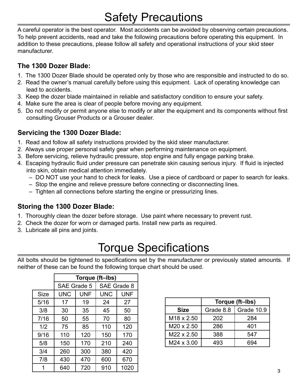# Safety Precautions

A careful operator is the best operator. Most accidents can be avoided by observing certain precautions. To help prevent accidents, read and take the following precautions before operating this equipment. In addition to these precautions, please follow all safety and operational instructions of your skid steer manufacturer.

### **The 1300 Dozer Blade:**

- 1. The 1300 Dozer Blade should be operated only by those who are responsible and instructed to do so.
- 2. Read the owner's manual carefully before using this equipment. Lack of operating knowledge can lead to accidents.
- 3. Keep the dozer blade maintained in reliable and satisfactory condition to ensure your safety.
- 4. Make sure the area is clear of people before moving any equipment.
- 5. Do not modify or permit anyone else to modify or alter the equipment and its components without first consulting Grouser Products or a Grouser dealer.

### **Servicing the 1300 Dozer Blade:**

- 1. Read and follow all safety instructions provided by the skid steer manufacturer.
- 2. Always use proper personal safety gear when performing maintenance on equipment.
- 3. Before servicing, relieve hydraulic pressure, stop engine and fully engage parking brake.
- 4. Escaping hydraulic fluid under pressure can penetrate skin causing serious injury. If fluid is injected into skin, obtain medical attention immediately.
	- DO NOT use your hand to check for leaks. Use a piece of cardboard or paper to search for leaks.
	- Stop the engine and relieve pressure before connecting or disconnecting lines.
	- Tighten all connections before starting the engine or pressurizing lines.

### **Storing the 1300 Dozer Blade:**

- 1. Thoroughly clean the dozer before storage. Use paint where necessary to prevent rust.
- 2. Check the dozer for worn or damaged parts. Install new parts as required.
- 3. Lubricate all pins and joints.

## Torque Specifications

All bolts should be tightened to specifications set by the manufacturer or previously stated amounts. If neither of these can be found the following torque chart should be used.

|             | Torque (ft-Ibs) |            |             |            |
|-------------|-----------------|------------|-------------|------------|
|             | SAE Grade 5     |            | SAE Grade 8 |            |
| <b>Size</b> | <b>UNC</b>      | <b>UNF</b> | <b>UNC</b>  | <b>UNF</b> |
| 5/16        | 17              | 19         | 24          | 27         |
| 3/8         | 30              | 35         | 45          | 50         |
| 7/16        | 50              | 55         | 70          | 80         |
| 1/2         | 75              | 85         | 110         | 120        |
| 9/16        | 110             | 120        | 150         | 170        |
| 5/8         | 150             | 170        | 210         | 240        |
| 3/4         | 260             | 300        | 380         | 420        |
| 7/8         | 430             | 470        | 600         | 670        |
|             | 640             | 720        | 910         | 1020       |

|                        | Torque (ft-Ibs) |            |  |
|------------------------|-----------------|------------|--|
| <b>Size</b>            | Grade 8.8       | Grade 10.9 |  |
| M <sub>18</sub> x 2.50 | 202             | 284        |  |
| M20 x 2.50             | 286             | 401        |  |
| M22 x 2.50             | 388             | 547        |  |
| M24 x 3.00             | 493             | 394        |  |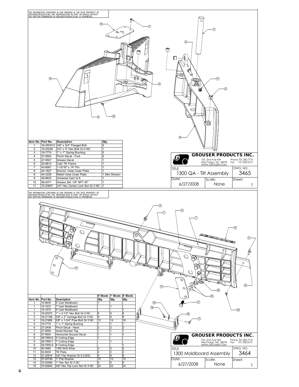| THE INFORMATION CONTAINED IN THIS DRAWING IS THE SOLE PROPERTY OF<br>GROUSER PRODUCTS INC ANY REPRODUCTION IN PART OR WHOLE WITHOUT<br><u>THE WRITTEN PERMISSION OF GROUSER PRODUCTS INC IS PROHIBITED.</u><br>⊛<br>⋒<br>కిం<br>◉<br>G<br>(10)<br>⊕<br>Item No. Part No.<br>Description<br>Qty.<br>3/8" x 3/4" Flanged Bolt<br>16-35C612<br>4<br>-1                                                                                                                                                                                                                                                                                                                                                                                                                                                                                                                                                                                                                                                                                                                                                                                                                              | 2<br>O<br>M)<br>3)<br>õ                                                                                                                                                                                                                                   |
|----------------------------------------------------------------------------------------------------------------------------------------------------------------------------------------------------------------------------------------------------------------------------------------------------------------------------------------------------------------------------------------------------------------------------------------------------------------------------------------------------------------------------------------------------------------------------------------------------------------------------------------------------------------------------------------------------------------------------------------------------------------------------------------------------------------------------------------------------------------------------------------------------------------------------------------------------------------------------------------------------------------------------------------------------------------------------------------------------------------------------------------------------------------------------------|-----------------------------------------------------------------------------------------------------------------------------------------------------------------------------------------------------------------------------------------------------------|
| 2<br>3/4" x 4" Hex Bolt Gr.5 NC<br>16-20226<br>3<br>19-7774<br>1" x 1" Spring Bushing<br>5<br>27-9503<br>Pinch Decal - Foot<br>4<br>5<br>27-9507<br>Grease Decal<br>32-8812<br>Cast Tilt Frame<br>6<br>43-6901<br>1-15/16" x 14" Pin<br>7<br>8<br>44-1627<br>Electric Valve Cover Plate<br>8<br>44-3229<br>Relief Valve Cover Plate<br>1 (Not Shown)<br>9<br>45-9633<br>Universal Cast Q.A<br>10<br>58-9371<br>Grease Zirk 1/8" NPT 45°<br>70-20607<br>3/4" Hex Center Lock Nut Gr.5 NC<br>11<br>The Information contained in this drawing is the sole property of<br>Grouser Products inc any reproduction in Part or whole without<br><u>The Written Permission of Grouser Products inc is prohibited.</u>                                                                                                                                                                                                                                                                                                                                                                                                                                                                     | <b>GROUSER PRODUCTS INC.</b><br>Phone 701.282.7710<br>755 2nd Ave NW<br>West Fargo, ND 58078<br>WWW.GROUSER.COM<br>Fax 701.282.8131<br>DWG. NO.<br><b>TITLE</b><br>3465<br>1300 QA - Tilt Assembly<br>Date:<br>Scale:<br>Sheet:<br>6/27/2008<br>None<br>1 |
| 3)<br>$\mathbb O$<br>O<br>œ<br>Θ<br>$\mathcal{O}$<br>⊕<br>$\mathcal{O}_\ell$                                                                                                                                                                                                                                                                                                                                                                                                                                                                                                                                                                                                                                                                                                                                                                                                                                                                                                                                                                                                                                                                                                     | 6<br>∩<br>(7)<br>⊛<br>fille Bill R<br>$\circledcirc$<br>₹<br>p<br><b>AB</b><br>$\mathcal{C}$<br>\$<br>Ø.<br>⊮ବ<br>ತ<br>⊕<br>11<br>$\circ$<br>ዎ<br>(14)                                                                                                    |
| 6' Blade 7' Blade 8' Blade<br>Item No. Part No.<br><b>Description</b><br>Qty.<br>Qty.<br>Qty.<br>15-9635<br>6' Cast Moldboard<br>15-1672<br>7' Cast Moldboard<br>1<br>1<br>(15)<br>15-1673<br>8' Cast Moldboard<br>1<br>1" x 2-1/2" Hex Bolt Gr 5 NC<br>$\overline{\mathbf{c}}$<br>16-20270<br>6<br>6<br>6<br>5/8" x 2" Carriage Bolt Gr 5 NC<br>16-21188<br>3<br>8<br>8<br>8<br>5/8" x 1-3/4" Plow Bolt Gr 5 NC<br>16-21666<br>12<br>14<br>4<br>16<br>5<br>19-7774<br>1" x 1" Spring Bushing<br>1<br>6<br>27-2409<br>Pinch Decal - Hand<br>2<br>2<br>27-9506<br>Serial Number Tag<br>$\overline{7}$<br>1<br>1<br>8<br>27-9504<br>Horizontal Grouser Decal<br> 1<br> 1<br>29-7950-6<br>9<br>6' Cutting Edge<br>9<br>29-7950-7<br>7' Cutting Edge<br>1<br>9<br>29-7950-8<br>8' Cutting Edge<br>10<br>50-3062<br>1300 Skid Shoe<br>$\overline{2}$<br>$\overline{2}$<br>11<br>52-8204<br><b>Tilt Plate</b><br>2<br>$\overline{2}$<br>12<br>5/8" Flat Washer Gr 8 (USS)<br>57-20816<br>8<br>8<br>8<br>57-20749<br>13<br>1" Flat Washer<br>12<br>12<br>12<br>14<br>70-20589<br>1" Hex Nut Gr 5 NC<br>6<br>6<br>6<br>5/8" Hex Top Lock Nut Gr 5 NC<br>15<br>70-20646<br>20<br>22<br>24 | ⊕<br><b>GROUSER PRODUCTS INC.</b><br>755 2nd Ave NW<br>West Fargo, ND 58078<br>WWW.GROUSER.COM<br>Phone 701.282.7710<br>Fax 701.282.8131<br>DWG. NO.<br>TITLE<br>3464<br>1300 Moldboard Assembly<br>Date:<br>Scale:<br>Sheet:<br>6/27/2008<br>None        |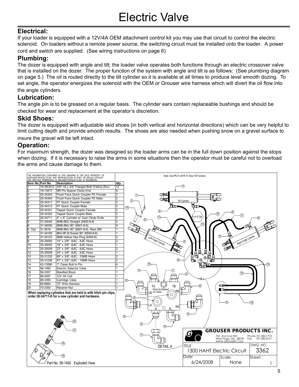#### **Electrical:**

If your loader is equipped with a 12V/4A OEM attachment control kit you may use that circuit to control the electric solenoid. On loaders without a remote power source, the switching circuit must be installed onto the loader. A power cord and switch are supplied. (See wiring instructions on page 6)

#### **Plumbing:**

The dozer is equipped with angle and tilt; the loader valve operates both functions through an electric crossover valve that is installed on the dozer. The proper function of the system with angle and tilt is as follows: (See plumbing diagram on page 5.) The oil is routed directly to the tilt cylinder so it is available at all times to produce level smooth dozing. To set angle, the operator energizes the solenoid with the OEM or Grouser wire harness which will divert the oil flow into the angle cylinders.

#### **Lubrication:**

The angle pin is to be greased on a regular basis. The cylinder ears contain replaceable bushings and should be checked for wear and replacement at the operator's discretion.

#### **Skid Shoes:**

The dozer is equipped with adjustable skid shoes (in both vertical and horizontal directions) which can be very helpful to limit cutting depth and provide smooth results. The shoes are also needed when pushing snow on a gravel surface to

insure the gravel will be left intact.

#### **Operation:**

For maximum strength, the dozer was designed so the loader arms can be in the full down position against the stops when dozing. If it is necessary to raise the arms in some situations then the operator must be careful not to overload the arms and cause damage to them.

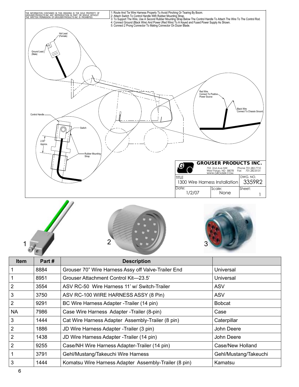







| <b>Item</b>    | Part# | <b>Description</b>                                    |                       |
|----------------|-------|-------------------------------------------------------|-----------------------|
| $\mathbf{1}$   | 8884  | Grouser 70" Wire Harness Assy off Valve-Trailer End   | Universal             |
| 1              | 8951  | Grouser Attachment Control Kit-23.5'                  | Universal             |
| 2              | 3554  | ASV RC-50 Wire Harness 11' w/ Switch-Trailer          | ASV                   |
| 3              | 3750  | ASV RC-100 WIRE HARNESS ASSY (8 Pin)                  | <b>ASV</b>            |
| $\overline{2}$ | 9291  | BC Wire Harness Adapter - Trailer (14 pin)            | <b>Bobcat</b>         |
| <b>NA</b>      | 7986  | Case Wire Harness Adapter - Trailer (8-pin)           | Case                  |
| 3              | 1444  | Cat Wire Harness Adapter Assembly-Trailer (8 pin)     | Caterpillar           |
| $\overline{2}$ | 1886  | JD Wire Harness Adapter - Trailer (3 pin)             | John Deere            |
| 2              | 1438  | JD Wire Harness Adapter - Trailer (14 pin)            | John Deere            |
| 2              | 9255  | Case/NH Wire Harness Adapter-Trailer (14 pin)         | Case/New Holland      |
| $\mathbf{1}$   | 3791  | Gehl/Mustang/Takeuchi Wire Harness                    | Gehl/Mustang/Takeuchi |
| 3              | 1444  | Komatsu Wire Harness Adapter Assembly-Trailer (8 pin) | Kamatsu               |
|                |       |                                                       |                       |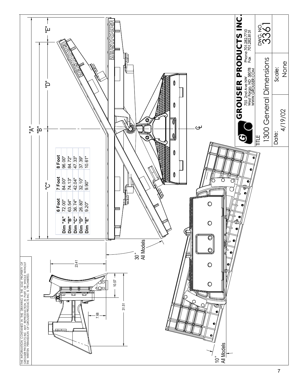